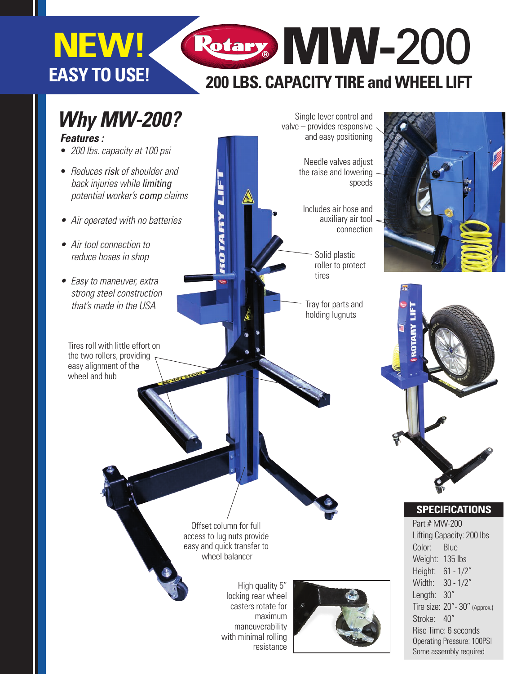# **EASY TO USE! NEW!**

# **200 LBS. CAPACITY TIRE and WHEEL LIFT** Rotary MW-200

## *Why MW-200?* Single lever control and valve – provides responsive and easy positioning *Features :* •*200 lbs. capacity at 100 psi* Needle valves adjust • *Reduces risk of shoulder and* the raise and lowering **TALY LIFT**  *back injuries while limiting*  speeds  *potential worker's comp claims* A Includes air hose and auxiliary air tool • Air operated with no batteries connection • Air tool connection to Solid plastic  *reduce hoses in shop* roller to protect tires • Easy to maneuver, extra  *strong steel construction* that's made in the USA  $\blacksquare$  Tray for parts and holding lugnuts Tires roll with little effort on the two rollers, providing easy alignment of the wheel and hub

Offset column for full access to lug nuts provide easy and quick transfer to wheel balancer

> High quality 5" locking rear wheel casters rotate for maximum maneuverability with minimal rolling resistance







#### **SPECIFICATIONS**

Part # MW-200 Lifting Capacity: 200 lbs Color: Blue Weight: 135 lbs Height: 61 - 1/2" Width: 30 - 1/2" Length: 30" Tire size: 20"- 30" (Approx.) Stroke: 40" Rise Time: 6 seconds Operating Pressure: 100PSI Some assembly required